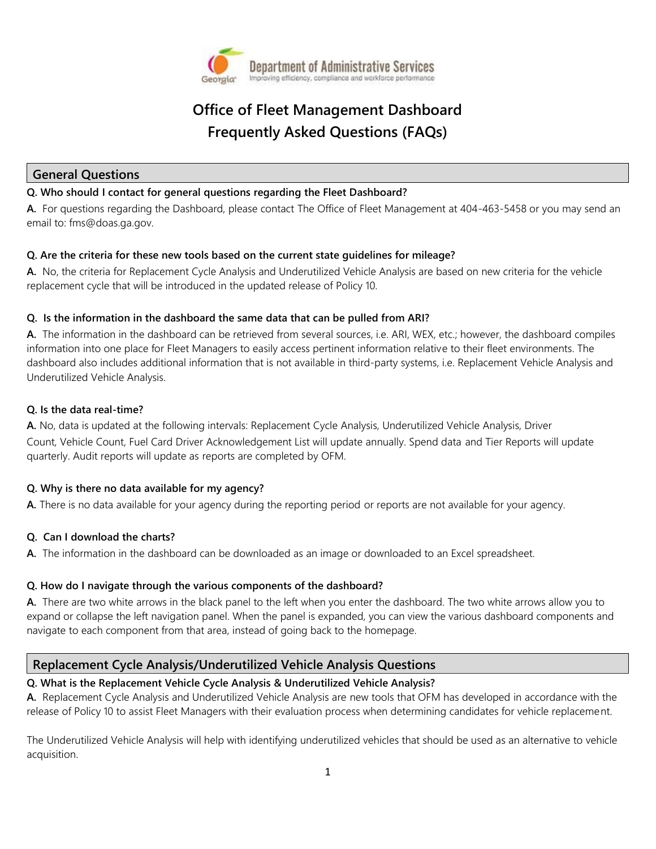

# **Office of Fleet Management Dashboard Frequently Asked Questions (FAQs)**

## **General Questions**

#### **Q. Who should I contact for general questions regarding the Fleet Dashboard?**

**A.** For questions regarding the Dashboard, please contact The Office of Fleet Management at 404-463-5458 or you may send an email to: fms@doas.ga.gov.

#### **Q. Are the criteria for these new tools based on the current state guidelines for mileage?**

**A.** No, the criteria for Replacement Cycle Analysis and Underutilized Vehicle Analysis are based on new criteria for the vehicle replacement cycle that will be introduced in the updated release of Policy 10.

#### **Q. Is the information in the dashboard the same data that can be pulled from ARI?**

**A.** The information in the dashboard can be retrieved from several sources, i.e. ARI, WEX, etc.; however, the dashboard compiles information into one place for Fleet Managers to easily access pertinent information relative to their fleet environments. The dashboard also includes additional information that is not available in third-party systems, i.e. Replacement Vehicle Analysis and Underutilized Vehicle Analysis.

#### **Q. Is the data real-time?**

**A.** No, data is updated at the following intervals: Replacement Cycle Analysis, Underutilized Vehicle Analysis, Driver Count, Vehicle Count, Fuel Card Driver Acknowledgement List will update annually. Spend data and Tier Reports will update quarterly. Audit reports will update as reports are completed by OFM.

## **Q. Why is there no data available for my agency?**

**A.** There is no data available for your agency during the reporting period or reports are not available for your agency.

#### **Q. Can I download the charts?**

**A.** The information in the dashboard can be downloaded as an image or downloaded to an Excel spreadsheet.

#### **Q. How do I navigate through the various components of the dashboard?**

**A.** There are two white arrows in the black panel to the left when you enter the dashboard. The two white arrows allow you to expand or collapse the left navigation panel. When the panel is expanded, you can view the various dashboard components and navigate to each component from that area, instead of going back to the homepage.

# **Replacement Cycle Analysis/Underutilized Vehicle Analysis Questions**

#### **Q. What is the Replacement Vehicle Cycle Analysis & Underutilized Vehicle Analysis?**

**A.** Replacement Cycle Analysis and Underutilized Vehicle Analysis are new tools that OFM has developed in accordance with the release of Policy 10 to assist Fleet Managers with their evaluation process when determining candidates for vehicle replacement.

The Underutilized Vehicle Analysis will help with identifying underutilized vehicles that should be used as an alternative to vehicle acquisition.